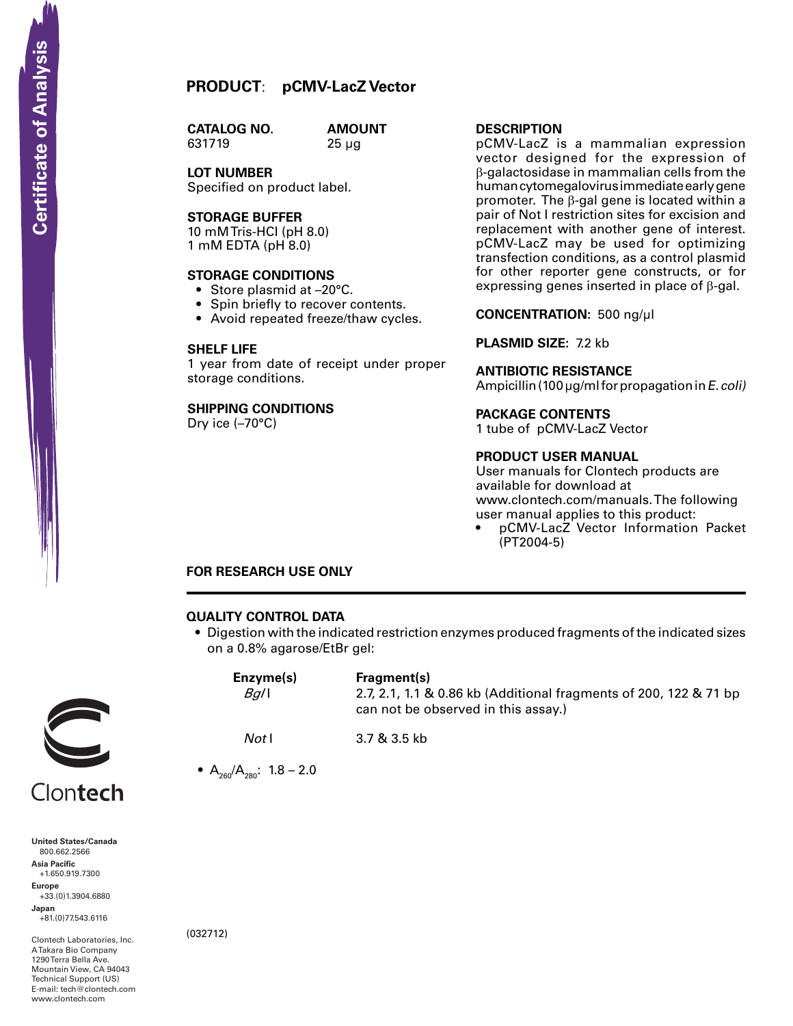# **PRODUCT**: **pCMV-LacZ Vector**

**CATALOG NO.** 631719 25 µg

**AMOUNT** 

**LOT NUMBER** Specified on product label.

## **Storage Buffer**

10 mM Tris-HCI (pH 8.0) 1 mM EDTA (pH 8.0)

#### **STORAGE CONDITIONS**

- Store plasmid at -20°C.
- Spin briefly to recover contents.
- Avoid repeated freeze/thaw cycles.

#### **SHELF LIFE**

1 year from date of receipt under proper storage conditions.

# **SHIPPING CONDITIONS**

Dry ice (–70°C)

### **Description**

pCMV-LacZ is a mammalian expression vector designed for the expression of β-galactosidase in mammalian cells from the human cytomegalovirus immediate early gene promoter. The β-gal gene is located within a pair of Not I restriction sites for excision and replacement with another gene of interest. pCMV-LacZ may be used for optimizing transfection conditions, as a control plasmid for other reporter gene constructs, or for expressing genes inserted in place of β-gal.

**Concentration:** 500 ng/µl

# **Plasmid Size:** 7.2 kb

#### **Antibiotic Resistance**

Ampicillin (100  $\mu$ g/ml for propagation in E. coli)

#### **Package contents**

1 tube of pCMV-LacZ Vector

#### **product user manual**

User manuals for Clontech products are available for download at www.clontech.com/manuals. The following user manual applies to this product:

pCMV-LacZ Vector Information Packet (PT2004-5)

# **FOR RESEARCH USE ONLY**

#### **QUALITY CONTROL DATA**

• Digestion with the indicated restriction enzymes produced fragments of the indicated sizes on a 0.8% agarose/EtBr gel:

|          | Enzyme(s)<br>$Bg$ /l            | Fragment(s)<br>2.7, 2.1, 1.1 & 0.86 kb (Additional fragments of 200, 122 & 71 bp<br>can not be observed in this assay.) |  |  |
|----------|---------------------------------|-------------------------------------------------------------------------------------------------------------------------|--|--|
|          | Notl                            | 3.7 & 3.5 kb                                                                                                            |  |  |
|          | • $A_{260}/A_{280}$ : 1.8 – 2.0 |                                                                                                                         |  |  |
| Clontech |                                 |                                                                                                                         |  |  |

**United States/Canada** 800.662.2566 **Asia Pacific** +1.650.919.7300 **Europe** +33.(0)1.3904.6880 **Japan** +81.(0)77.543.6116 **Solution Control Control Control Control Control Control Control Control Control Control Control Control Control Control Control Control Control Control Control Control Control Control Control Control Control Control Cont** 

Clontech Laboratories, Inc. A Takara Bio Company 1290 Terra Bella Ave. Mountain View, CA 94043 Technical Support (US) E-mail: tech@clontech.com<br>www.clontech.com (032712)